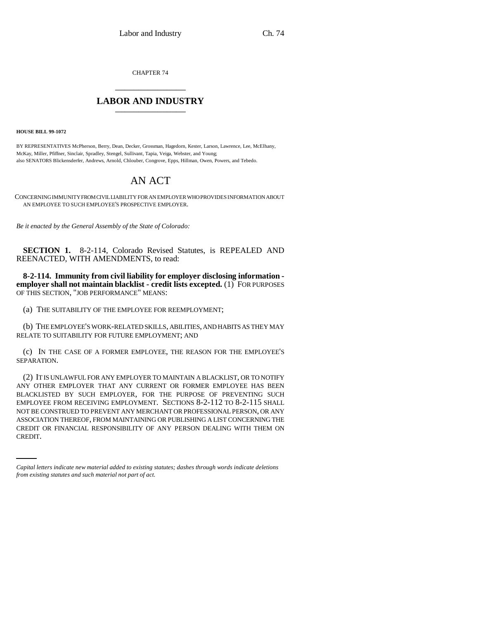CHAPTER 74 \_\_\_\_\_\_\_\_\_\_\_\_\_\_\_

## **LABOR AND INDUSTRY** \_\_\_\_\_\_\_\_\_\_\_\_\_\_\_

**HOUSE BILL 99-1072** 

BY REPRESENTATIVES McPherson, Berry, Dean, Decker, Grossman, Hagedorn, Kester, Larson, Lawrence, Lee, McElhany, McKay, Miller, Pfiffner, Sinclair, Spradley, Stengel, Sullivant, Tapia, Veiga, Webster, and Young; also SENATORS Blickensderfer, Andrews, Arnold, Chlouber, Congrove, Epps, Hillman, Owen, Powers, and Tebedo.

## AN ACT

CONCERNING IMMUNITY FROM CIVIL LIABILITY FOR AN EMPLOYER WHO PROVIDES INFORMATION ABOUT AN EMPLOYEE TO SUCH EMPLOYEE'S PROSPECTIVE EMPLOYER.

*Be it enacted by the General Assembly of the State of Colorado:*

**SECTION 1.** 8-2-114, Colorado Revised Statutes, is REPEALED AND REENACTED, WITH AMENDMENTS, to read:

**8-2-114. Immunity from civil liability for employer disclosing information employer shall not maintain blacklist - credit lists excepted.** (1) FOR PURPOSES OF THIS SECTION, "JOB PERFORMANCE" MEANS:

(a) THE SUITABILITY OF THE EMPLOYEE FOR REEMPLOYMENT;

(b) THE EMPLOYEE'S WORK-RELATED SKILLS, ABILITIES, AND HABITS AS THEY MAY RELATE TO SUITABILITY FOR FUTURE EMPLOYMENT; AND

(c) IN THE CASE OF A FORMER EMPLOYEE, THE REASON FOR THE EMPLOYEE'S SEPARATION.

ASSOCIATION THEREOF, FROM MAINTAINING OR PUBLISHING A LIST CONCERNING THE (2) IT IS UNLAWFUL FOR ANY EMPLOYER TO MAINTAIN A BLACKLIST, OR TO NOTIFY ANY OTHER EMPLOYER THAT ANY CURRENT OR FORMER EMPLOYEE HAS BEEN BLACKLISTED BY SUCH EMPLOYER, FOR THE PURPOSE OF PREVENTING SUCH EMPLOYEE FROM RECEIVING EMPLOYMENT. SECTIONS 8-2-112 TO 8-2-115 SHALL NOT BE CONSTRUED TO PREVENT ANY MERCHANT OR PROFESSIONAL PERSON, OR ANY CREDIT OR FINANCIAL RESPONSIBILITY OF ANY PERSON DEALING WITH THEM ON CREDIT.

*Capital letters indicate new material added to existing statutes; dashes through words indicate deletions from existing statutes and such material not part of act.*